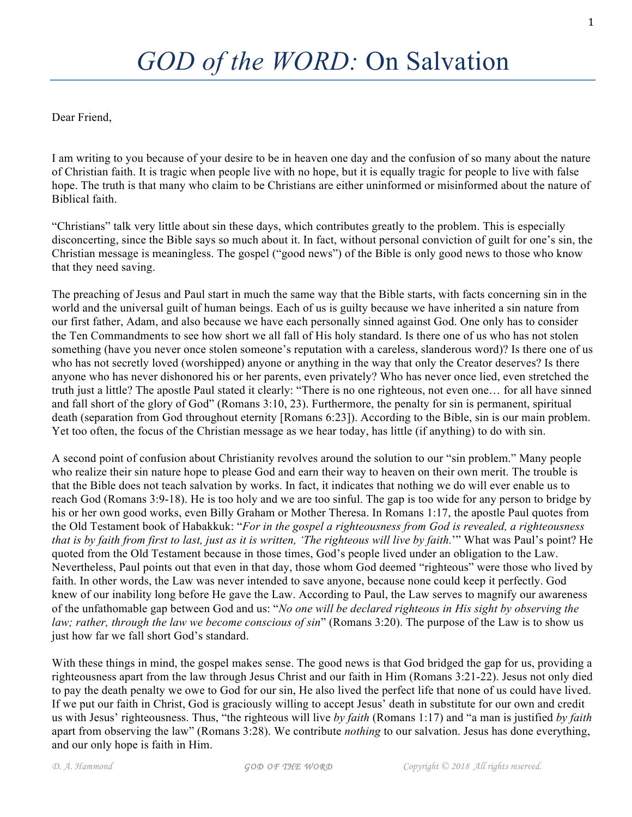Dear Friend,

I am writing to you because of your desire to be in heaven one day and the confusion of so many about the nature of Christian faith. It is tragic when people live with no hope, but it is equally tragic for people to live with false hope. The truth is that many who claim to be Christians are either uninformed or misinformed about the nature of Biblical faith.

"Christians" talk very little about sin these days, which contributes greatly to the problem. This is especially disconcerting, since the Bible says so much about it. In fact, without personal conviction of guilt for one's sin, the Christian message is meaningless. The gospel ("good news") of the Bible is only good news to those who know that they need saving.

The preaching of Jesus and Paul start in much the same way that the Bible starts, with facts concerning sin in the world and the universal guilt of human beings. Each of us is guilty because we have inherited a sin nature from our first father, Adam, and also because we have each personally sinned against God. One only has to consider the Ten Commandments to see how short we all fall of His holy standard. Is there one of us who has not stolen something (have you never once stolen someone's reputation with a careless, slanderous word)? Is there one of us who has not secretly loved (worshipped) anyone or anything in the way that only the Creator deserves? Is there anyone who has never dishonored his or her parents, even privately? Who has never once lied, even stretched the truth just a little? The apostle Paul stated it clearly: "There is no one righteous, not even one… for all have sinned and fall short of the glory of God" (Romans 3:10, 23). Furthermore, the penalty for sin is permanent, spiritual death (separation from God throughout eternity [Romans 6:23]). According to the Bible, sin is our main problem. Yet too often, the focus of the Christian message as we hear today, has little (if anything) to do with sin.

A second point of confusion about Christianity revolves around the solution to our "sin problem." Many people who realize their sin nature hope to please God and earn their way to heaven on their own merit. The trouble is that the Bible does not teach salvation by works. In fact, it indicates that nothing we do will ever enable us to reach God (Romans 3:9-18). He is too holy and we are too sinful. The gap is too wide for any person to bridge by his or her own good works, even Billy Graham or Mother Theresa. In Romans 1:17, the apostle Paul quotes from the Old Testament book of Habakkuk: "*For in the gospel a righteousness from God is revealed, a righteousness that is by faith from first to last, just as it is written, 'The righteous will live by faith.*'" What was Paul's point? He quoted from the Old Testament because in those times, God's people lived under an obligation to the Law. Nevertheless, Paul points out that even in that day, those whom God deemed "righteous" were those who lived by faith. In other words, the Law was never intended to save anyone, because none could keep it perfectly. God knew of our inability long before He gave the Law. According to Paul, the Law serves to magnify our awareness of the unfathomable gap between God and us: "*No one will be declared righteous in His sight by observing the law; rather, through the law we become conscious of sin*" (Romans 3:20). The purpose of the Law is to show us just how far we fall short God's standard.

With these things in mind, the gospel makes sense. The good news is that God bridged the gap for us, providing a righteousness apart from the law through Jesus Christ and our faith in Him (Romans 3:21-22). Jesus not only died to pay the death penalty we owe to God for our sin, He also lived the perfect life that none of us could have lived. If we put our faith in Christ, God is graciously willing to accept Jesus' death in substitute for our own and credit us with Jesus' righteousness. Thus, "the righteous will live *by faith* (Romans 1:17) and "a man is justified *by faith* apart from observing the law" (Romans 3:28). We contribute *nothing* to our salvation. Jesus has done everything, and our only hope is faith in Him.

1